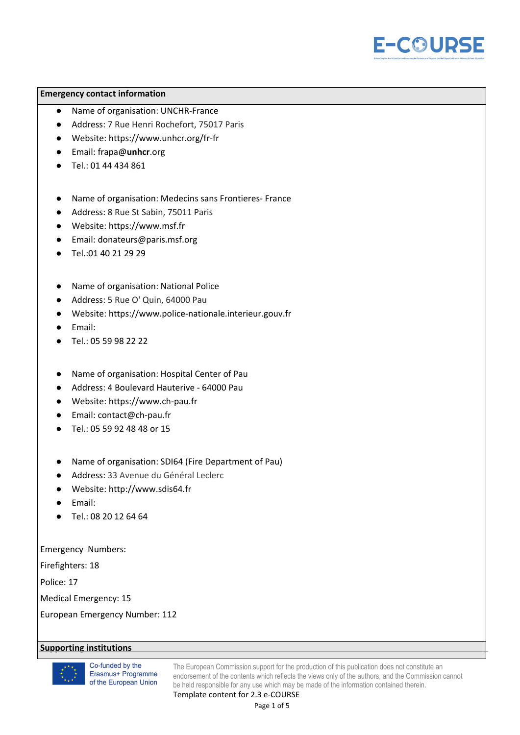

## **Emergency contact information**

- Name of organisation: UNCHR-France
- Address: 7 Rue Henri Rochefort, 75017 Paris
- Website: https://www.unhcr.org/fr-fr
- Email: frapa@**unhcr**.org
- Tel.: 01 44 434 861
- Name of organisation: Medecins sans Frontieres- France
- Address: 8 Rue St Sabin, 75011 Paris
- Website: https://www.msf.fr
- Email: donateurs@paris.msf.org
- Tel.:01 40 21 29 29
- Name of organisation: National Police
- Address: 5 Rue O' Quin, 64000 Pau
- Website: https://www.police-nationale.interieur.gouv.fr
- Email:
- Tel.: 05 59 98 22 22
- Name of organisation: Hospital Center of Pau
- Address: 4 Boulevard Hauterive 64000 Pau
- Website: https://www.ch-pau.fr
- Email: contact@ch-pau.fr
- Tel.: 05 59 92 48 48 or 15
- Name of organisation: SDI64 (Fire Department of Pau)
- Address: 33 Avenue du Général Leclerc
- Website: http://www.sdis64.fr
- Email:
- Tel.: 08 20 12 64 64

Emergency Numbers:

Firefighters: 18

Police: 17

Medical Emergency: 15

European Emergency Number: 112

## **Supporting institutions**



Co-funded by the Erasmus+ Programme of the European Union

The European Commission support for the production of this publication does not constitute an endorsement of the contents which reflects the views only of the authors, and the Commission cannot be held responsible for any use which may be made of the information contained therein.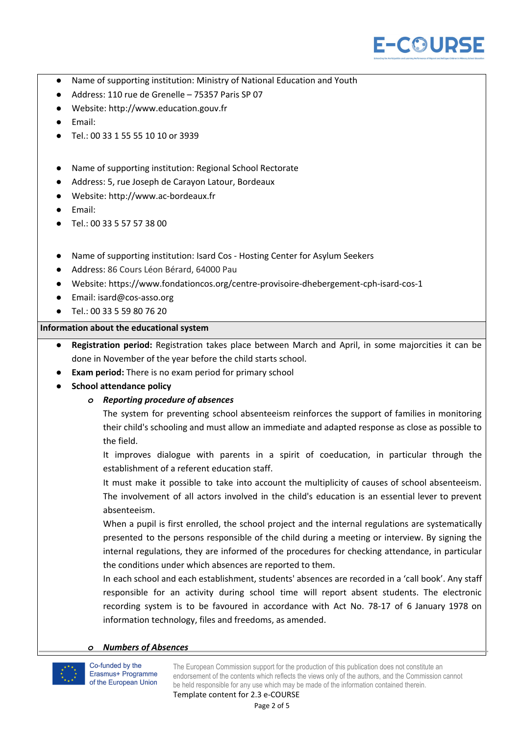

- Name of supporting institution: Ministry of National Education and Youth
- Address: 110 rue de Grenelle 75357 Paris SP 07
- Website: http://www.education.gouv.fr
- Email:
- Tel.: 00 33 1 55 55 10 10 or 3939
- Name of supporting institution: Regional School Rectorate
- Address: 5, rue Joseph de [Carayon](https://www.google.com/search?client=safari&rls=en&q=rue+Joseph+de+Carayon+Latour&stick=H4sIAAAAAAAAAONgVuLWT9c3LMvIzinPMQIAvafXUA8AAAA&sa=X&ved=2ahUKEwiD1rXg1-veAhVJPBoKHaDwCm4QmxMoATAUegQIBxAK) Latour, Bordeaux
- Website: http://www.ac-bordeaux.fr
- Email:
- Tel.: 00 33 5 57 57 38 00
- Name of supporting institution: Isard Cos Hosting Center for Asylum Seekers
- Address: 86 Cours Léon Bérard, 64000 Pau
- Website: https://www.fondationcos.org/centre-provisoire-dhebergement-cph-isard-cos-1
- Email: isard@cos-asso.org
- Tel.: 00 33 5 59 80 76 20

## **Information about the educational system**

- **● Registration period:** Registration takes place between March and April, in some majorcities it can be done in November of the year before the child starts school.
- **Exam period:** There is no exam period for primary school
- *●* **School attendance policy**

## *o Reporting procedure of absences*

The system for preventing school absenteeism reinforces the support of families in monitoring their child's schooling and must allow an immediate and adapted response as close as possible to the field.

It improves dialogue with parents in a spirit of coeducation, in particular through the establishment of a referent education staff.

It must make it possible to take into account the multiplicity of causes of school absenteeism. The involvement of all actors involved in the child's education is an essential lever to prevent absenteeism.

When a pupil is first enrolled, the school project and the internal regulations are systematically presented to the persons responsible of the child during a meeting or interview. By signing the internal regulations, they are informed of the procedures for checking attendance, in particular the conditions under which absences are reported to them.

In each school and each establishment, students' absences are recorded in a 'call book'. Any staff responsible for an activity during school time will report absent students. The electronic recording system is to be favoured in accordance with Act No. 78-17 of 6 January 1978 on information technology, files and freedoms, as amended.

#### *Numbers* of *Absences*

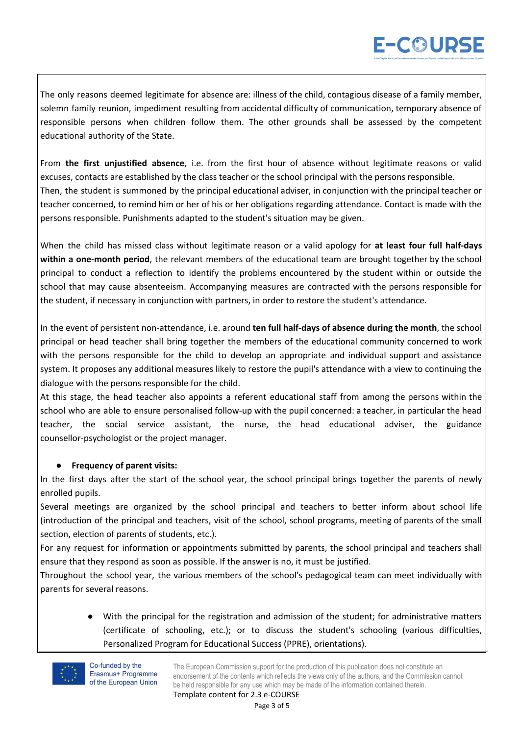# E-COURSE

The only reasons deemed legitimate for absence are: illness of the child, contagious disease of a family member, solemn family reunion, impediment resulting from accidental difficulty of communication, temporary absence of responsible persons when children follow them. The other grounds shall be assessed by the competent educational authority of the State.

From **the first unjustified absence**, i.e. from the first hour of absence without legitimate reasons or valid excuses, contacts are established by the class teacher or the school principal with the persons responsible. Then, the student is summoned by the principal educational adviser, in conjunction with the principal teacher or teacher concerned, to remind him or her of his or her obligations regarding attendance. Contact is made with the persons responsible. Punishments adapted to the student's situation may be given.

When the child has missed class without legitimate reason or a valid apology for **at least four full half-days within a one-month period**, the relevant members of the educational team are brought together by the school principal to conduct a reflection to identify the problems encountered by the student within or outside the school that may cause absenteeism. Accompanying measures are contracted with the persons responsible for the student, if necessary in conjunction with partners, in order to restore the student's attendance.

In the event of persistent non-attendance, i.e. around **ten full half-days of absence during the month**, the school principal or head teacher shall bring together the members of the educational community concerned to work with the persons responsible for the child to develop an appropriate and individual support and assistance system. It proposes any additional measures likely to restore the pupil's attendance with a view to continuing the dialogue with the persons responsible for the child.

At this stage, the head teacher also appoints a referent educational staff from among the persons within the school who are able to ensure personalised follow-up with the pupil concerned: a teacher, in particular the head teacher, the social service assistant, the nurse, the head educational adviser, the guidance counsellor-psychologist or the project manager.

## **● Frequency of parent visits:**

In the first days after the start of the school year, the school principal brings together the parents of newly enrolled pupils.

Several meetings are organized by the school principal and teachers to better inform about school life (introduction of the principal and teachers, visit of the school, school programs, meeting of parents of the small section, election of parents of students, etc.).

For any request for information or appointments submitted by parents, the school principal and teachers shall ensure that they respond as soon as possible. If the answer is no, it must be justified.

Throughout the school year, the various members of the school's pedagogical team can meet individually with parents for several reasons.

> With the principal for the registration and admission of the student; for administrative matters (certificate of schooling, etc.); or to discuss the student's schooling (various difficulties, Personalized Program for Educational Success (PPRE), orientations).

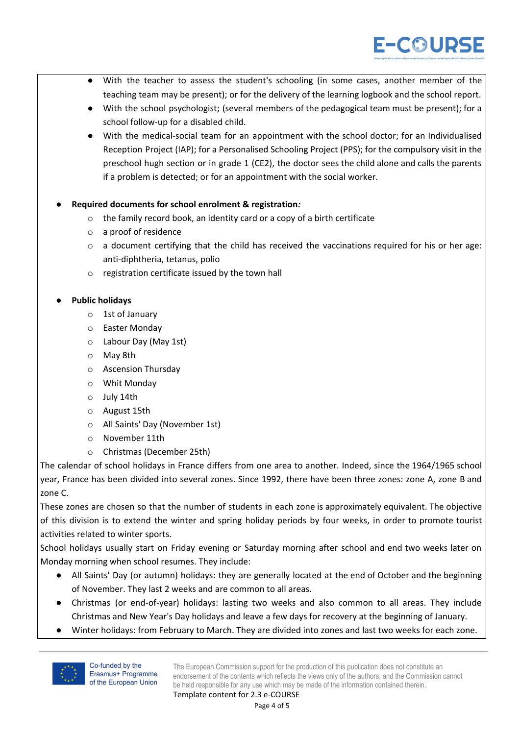

- With the teacher to assess the student's schooling (in some cases, another member of the teaching team may be present); or for the delivery of the learning logbook and the school report.
- With the school psychologist; (several members of the pedagogical team must be present); for a school follow-up for a disabled child.
- With the medical-social team for an appointment with the school doctor; for an Individualised Reception Project (IAP); for a Personalised Schooling Project (PPS); for the compulsory visit in the preschool hugh section or in grade 1 (CE2), the doctor sees the child alone and calls the parents if a problem is detected; or for an appointment with the social worker.
- *●* **Required documents for school enrolment & registration***:*
	- o the family record book, an identity card or a copy of a birth certificate
	- o a proof of residence
	- o a document certifying that the child has received the vaccinations required for his or her age: anti-diphtheria, tetanus, polio
	- o registration certificate issued by the town hall

## **● Public holidays**

- o 1st of January
- o Easter Monday
- o Labour Day (May 1st)
- o May 8th
- o Ascension Thursday
- o Whit Monday
- o July 14th
- o August 15th
- o All Saints' Day (November 1st)
- o November 11th
- o Christmas (December 25th)

The calendar of school holidays in France differs from one area to another. Indeed, since the 1964/1965 school year, France has been divided into several zones. Since 1992, there have been three zones: zone A, zone B and zone C.

These zones are chosen so that the number of students in each zone is approximately equivalent. The objective of this division is to extend the winter and spring holiday periods by four weeks, in order to promote tourist activities related to winter sports.

School holidays usually start on Friday evening or Saturday morning after school and end two weeks later on Monday morning when school resumes. They include:

- All Saints' Day (or autumn) holidays: they are generally located at the end of October and the beginning of November. They last 2 weeks and are common to all areas.
- Christmas (or end-of-year) holidays: lasting two weeks and also common to all areas. They include Christmas and New Year's Day holidays and leave a few days for recovery at the beginning of January.
- Winter holidays: from February to March. They are divided into zones and last two weeks for each zone.